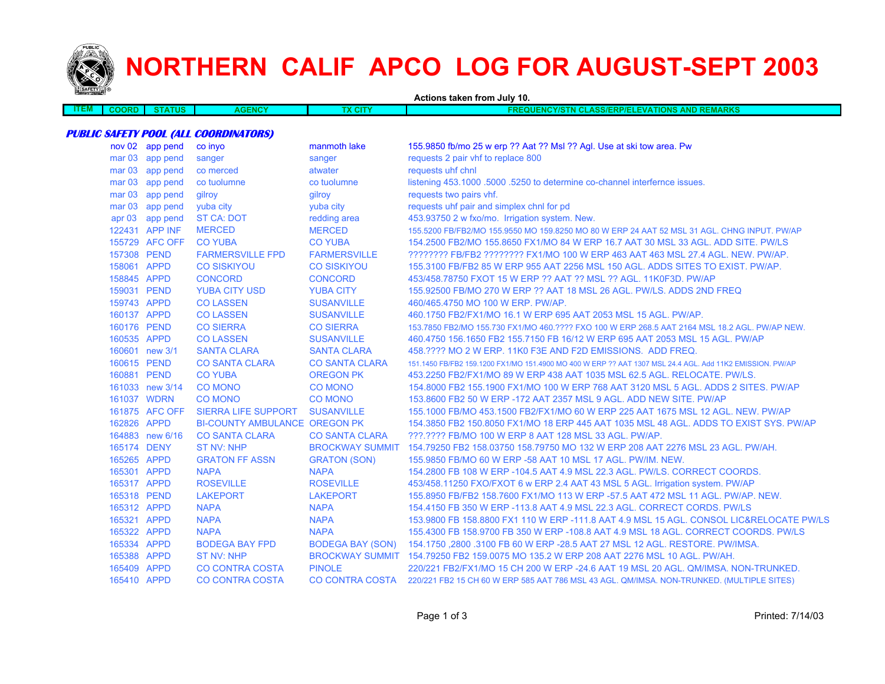

## **NORTHERN CALIF APCO LOG FOR AUGUST-SEPT 2003**

| <b><i>PARKET THERE</i></b> |                   |                 |                                              |                         | Actions taken from July 10.                                                                              |
|----------------------------|-------------------|-----------------|----------------------------------------------|-------------------------|----------------------------------------------------------------------------------------------------------|
| <b>ITEM</b>                | <b>COORD</b>      | <b>STATUS</b>   | <b>AGENCY</b>                                | <b>TX CITY</b>          | <b>FREQUENCY/STN CLASS/ERP/ELEVATIONS AND REMARKS</b>                                                    |
|                            |                   |                 |                                              |                         |                                                                                                          |
|                            |                   |                 | <b>PUBLIC SAFETY POOL (ALL COORDINATORS)</b> |                         |                                                                                                          |
|                            |                   | nov 02 app pend | co invo                                      | manmoth lake            | 155.9850 fb/mo 25 w erp ?? Aat ?? Msl ?? Agl. Use at ski tow area. Pw                                    |
|                            |                   | mar 03 app pend | sanger                                       | sanger                  | requests 2 pair vhf to replace 800                                                                       |
|                            | mar <sub>03</sub> | app pend        | co merced                                    | atwater                 | requests uhf chnl                                                                                        |
|                            |                   | mar 03 app pend | co tuolumne                                  | co tuolumne             | listening 453.1000 .5000 .5250 to determine co-channel interfernce issues.                               |
|                            |                   | mar 03 app pend | gilroy                                       | gilroy                  | requests two pairs vhf.                                                                                  |
|                            | mar <sub>03</sub> | app pend        | yuba city                                    | yuba city               | requests uhf pair and simplex chnl for pd                                                                |
|                            |                   | apr 03 app pend | <b>ST CA: DOT</b>                            | redding area            | 453.93750 2 w fxo/mo. Irrigation system. New.                                                            |
|                            |                   | 122431 APP INF  | <b>MERCED</b>                                | <b>MERCED</b>           | 155.5200 FB/FB2/MO 155.9550 MO 159.8250 MO 80 W ERP 24 AAT 52 MSL 31 AGL. CHNG INPUT. PW/AP              |
|                            |                   | 155729 AFC OFF  | <b>CO YUBA</b>                               | <b>CO YUBA</b>          | 154.2500 FB2/MO 155.8650 FX1/MO 84 W ERP 16.7 AAT 30 MSL 33 AGL, ADD SITE, PW/LS                         |
|                            | 157308 PEND       |                 | <b>FARMERSVILLE FPD</b>                      | <b>FARMERSVILLE</b>     | ???????? FB/FB2 ???????? FX1/MO 100 W ERP 463 AAT 463 MSL 27.4 AGL. NEW. PW/AP.                          |
|                            | 158061 APPD       |                 | <b>CO SISKIYOU</b>                           | <b>CO SISKIYOU</b>      | 155.3100 FB/FB2 85 W ERP 955 AAT 2256 MSL 150 AGL. ADDS SITES TO EXIST. PW/AP.                           |
|                            | 158845 APPD       |                 | <b>CONCORD</b>                               | <b>CONCORD</b>          | 453/458.78750 FXOT 15 W ERP ?? AAT ?? MSL ?? AGL. 11K0F3D. PW/AP                                         |
|                            | 159031 PEND       |                 | <b>YUBA CITY USD</b>                         | <b>YUBA CITY</b>        | 155,92500 FB/MO 270 W ERP ?? AAT 18 MSL 26 AGL, PW/LS, ADDS 2ND FREQ                                     |
|                            | 159743 APPD       |                 | <b>CO LASSEN</b>                             | <b>SUSANVILLE</b>       | 460/465.4750 MO 100 W ERP. PW/AP.                                                                        |
|                            | 160137 APPD       |                 | <b>CO LASSEN</b>                             | <b>SUSANVILLE</b>       | 460.1750 FB2/FX1/MO 16.1 W ERP 695 AAT 2053 MSL 15 AGL. PW/AP.                                           |
|                            | 160176 PEND       |                 | <b>CO SIERRA</b>                             | <b>CO SIERRA</b>        | 153.7850 FB2/MO 155.730 FX1/MO 460.???? FXO 100 W ERP 268.5 AAT 2164 MSL 18.2 AGL. PW/AP NEW.            |
|                            | 160535 APPD       |                 | <b>CO LASSEN</b>                             | <b>SUSANVILLE</b>       | 460.4750 156.1650 FB2 155.7150 FB 16/12 W ERP 695 AAT 2053 MSL 15 AGL. PW/AP                             |
|                            |                   | 160601 new 3/1  | <b>SANTA CLARA</b>                           | <b>SANTA CLARA</b>      | 458.???? MO 2 W ERP, 11K0 F3E AND F2D EMISSIONS. ADD FREQ.                                               |
|                            | 160615 PEND       |                 | <b>CO SANTA CLARA</b>                        | <b>CO SANTA CLARA</b>   | 151.1450 FB/FB2 159.1200 FX1/MO 151.4900 MO 400 W ERP ?? AAT 1307 MSL 24.4 AGL. Add 11K2 EMISSION. PW/AP |
|                            | 160881 PEND       |                 | <b>CO YUBA</b>                               | <b>OREGON PK</b>        | 453.2250 FB2/FX1/MO 89 W ERP 438 AAT 1035 MSL 62.5 AGL. RELOCATE. PW/LS.                                 |
|                            |                   | 161033 new 3/14 | <b>CO MONO</b>                               | <b>CO MONO</b>          | 154.8000 FB2 155.1900 FX1/MO 100 W ERP 768 AAT 3120 MSL 5 AGL. ADDS 2 SITES, PW/AP                       |
|                            | 161037 WDRN       |                 | <b>CO MONO</b>                               | <b>CO MONO</b>          | 153.8600 FB2 50 W ERP -172 AAT 2357 MSL 9 AGL. ADD NEW SITE. PW/AP                                       |
|                            |                   | 161875 AFC OFF  | SIERRA LIFE SUPPORT                          | <b>SUSANVILLE</b>       | 155.1000 FB/MO 453.1500 FB2/FX1/MO 60 W ERP 225 AAT 1675 MSL 12 AGL. NEW. PW/AP                          |
|                            | 162826 APPD       |                 | <b>BI-COUNTY AMBULANCE OREGON PK</b>         |                         | 154.3850 FB2 150.8050 FX1/MO 18 ERP 445 AAT 1035 MSL 48 AGL. ADDS TO EXIST SYS. PW/AP                    |
|                            |                   | 164883 new 6/16 | <b>CO SANTA CLARA</b>                        | <b>CO SANTA CLARA</b>   | ???.???? FB/MO 100 W ERP 8 AAT 128 MSL 33 AGL. PW/AP.                                                    |
|                            | 165174 DENY       |                 | <b>ST NV: NHP</b>                            |                         | BROCKWAY SUMMIT 154.79250 FB2 158.03750 158.79750 MO 132 W ERP 208 AAT 2276 MSL 23 AGL. PW/AH.           |
|                            | 165265 APPD       |                 | <b>GRATON FF ASSN</b>                        | <b>GRATON (SON)</b>     | 155.9850 FB/MO 60 W ERP -58 AAT 10 MSL 17 AGL. PW/IM. NEW.                                               |
|                            | 165301 APPD       |                 | <b>NAPA</b>                                  | <b>NAPA</b>             | 154.2800 FB 108 W ERP -104.5 AAT 4.9 MSL 22.3 AGL. PW/LS. CORRECT COORDS.                                |
|                            | 165317 APPD       |                 | <b>ROSEVILLE</b>                             | <b>ROSEVILLE</b>        | 453/458.11250 FXO/FXOT 6 w ERP 2.4 AAT 43 MSL 5 AGL. Irrigation system. PW/AP                            |
|                            | 165318 PEND       |                 | <b>LAKEPORT</b>                              | <b>LAKEPORT</b>         | 155.8950 FB/FB2 158.7600 FX1/MO 113 W ERP -57.5 AAT 472 MSL 11 AGL, PW/AP, NEW,                          |
|                            | 165312 APPD       |                 | <b>NAPA</b>                                  | <b>NAPA</b>             | 154.4150 FB 350 W ERP -113.8 AAT 4.9 MSL 22.3 AGL. CORRECT CORDS. PW/LS                                  |
|                            | 165321 APPD       |                 | <b>NAPA</b>                                  | <b>NAPA</b>             | 153.9800 FB 158.8800 FX1 110 W ERP -111.8 AAT 4.9 MSL 15 AGL. CONSOL LIC&RELOCATE PW/LS                  |
|                            | 165322 APPD       |                 | <b>NAPA</b>                                  | <b>NAPA</b>             | 155.4300 FB 158.9700 FB 350 W ERP -108.8 AAT 4.9 MSL 18 AGL. CORRECT COORDS. PW/LS                       |
|                            | 165334 APPD       |                 | <b>BODEGA BAY FPD</b>                        | <b>BODEGA BAY (SON)</b> | 154.1750,2800 .3100 FB 60 W ERP -28.5 AAT 27 MSL 12 AGL. RESTORE. PW/IMSA.                               |
|                            | 165388 APPD       |                 | ST NV: NHP                                   |                         | BROCKWAY SUMMIT 154.79250 FB2 159.0075 MO 135.2 W ERP 208 AAT 2276 MSL 10 AGL, PW/AH.                    |
|                            | 165409 APPD       |                 | <b>CO CONTRA COSTA</b>                       | <b>PINOLE</b>           | 220/221 FB2/FX1/MO 15 CH 200 W ERP -24.6 AAT 19 MSL 20 AGL. QM/IMSA. NON-TRUNKED.                        |
|                            | 165410 APPD       |                 | <b>CO CONTRA COSTA</b>                       | CO CONTRA COSTA         | 220/221 FB2 15 CH 60 W ERP 585 AAT 786 MSL 43 AGL. QM/IMSA. NON-TRUNKED. (MULTIPLE SITES)                |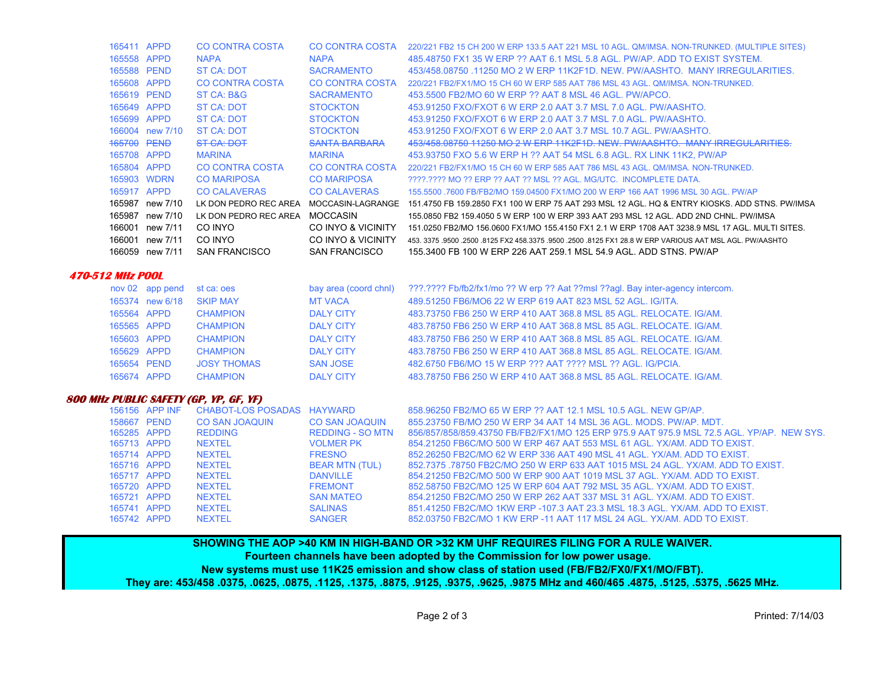| 165411 APPD |                 | CO CONTRA COSTA        | CO CONTRA COSTA      | 220/221 FB2 15 CH 200 W ERP 133.5 AAT 221 MSL 10 AGL. QM/IMSA. NON-TRUNKED. (MULTIPLE SITES)             |
|-------------|-----------------|------------------------|----------------------|----------------------------------------------------------------------------------------------------------|
| 165558 APPD |                 | <b>NAPA</b>            | <b>NAPA</b>          | 485.48750 FX1 35 W ERP ?? AAT 6.1 MSL 5.8 AGL. PW/AP. ADD TO EXIST SYSTEM.                               |
| 165588 PEND |                 | ST CA: DOT             | <b>SACRAMENTO</b>    | 453/458,08750,11250 MO 2 W ERP 11K2F1D, NEW, PW/AASHTO, MANY IRREGULARITIES,                             |
| 165608 APPD |                 | CO CONTRA COSTA        | CO CONTRA COSTA      | 220/221 FB2/FX1/MO 15 CH 60 W ERP 585 AAT 786 MSL 43 AGL, QM/IMSA, NON-TRUNKED.                          |
| 165619 PEND |                 | ST CA: B&G             | <b>SACRAMENTO</b>    | 453,5500 FB2/MO 60 W ERP ?? AAT 8 MSL 46 AGL, PW/APCO.                                                   |
| 165649 APPD |                 | ST CA: DOT             | <b>STOCKTON</b>      | 453.91250 FXO/FXOT 6 W ERP 2.0 AAT 3.7 MSL 7.0 AGL. PW/AASHTO.                                           |
| 165699 APPD |                 | ST CA: DOT             | <b>STOCKTON</b>      | 453.91250 FXO/FXOT 6 W ERP 2.0 AAT 3.7 MSL 7.0 AGL, PW/AASHTO.                                           |
|             | 166004 new 7/10 | ST CA: DOT             | <b>STOCKTON</b>      | 453.91250 FXO/FXOT 6 W ERP 2.0 AAT 3.7 MSL 10.7 AGL, PW/AASHTO.                                          |
| 165700 PEND |                 | ST CA: DOT             | <b>SANTA BARBARA</b> | 453/458.08750 11250 MO 2 W ERP 11K2F1D, NEW, PW/AASHTO, MANY IRREGULARITIES,                             |
| 165708 APPD |                 | <b>MARINA</b>          | <b>MARINA</b>        | 453.93750 FXO 5.6 W ERP H ?? AAT 54 MSL 6.8 AGL, RX LINK 11K2, PW/AP                                     |
| 165804 APPD |                 | <b>CO CONTRA COSTA</b> | CO CONTRA COSTA      | 220/221 FB2/FX1/MO 15 CH 60 W ERP 585 AAT 786 MSL 43 AGL, QM/IMSA, NON-TRUNKED.                          |
|             | 165903 WDRN     | <b>CO MARIPOSA</b>     | <b>CO MARIPOSA</b>   | 2222.2222 MO 22 ERP 22 AAT 22 MSL 22 AGL, MG/UTC. INCOMPLETE DATA.                                       |
| 165917 APPD |                 | <b>CO CALAVERAS</b>    | <b>CO CALAVERAS</b>  | 155,5500, 7600 FB/FB2/MO 159,04500 FX1/MO 200 W ERP 166 AAT 1996 MSL 30 AGL, PW/AP                       |
| 165987      | new 7/10        | LK DON PEDRO REC AREA  | MOCCASIN-LAGRANGE    | 151.4750 FB 159.2850 FX1 100 W ERP 75 AAT 293 MSL 12 AGL. HQ & ENTRY KIOSKS. ADD STNS. PW/IMSA           |
| 165987      | new 7/10        | LK DON PEDRO REC AREA  | MOCCASIN             | 155,0850 FB2 159,4050 5 W ERP 100 W ERP 393 AAT 293 MSL 12 AGL, ADD 2ND CHNL, PW/IMSA                    |
| 166001      | new 7/11        | CO INYO                | CO INYO & VICINITY   | 151.0250 FB2/MO 156.0600 FX1/MO 155.4150 FX1 2.1 W ERP 1708 AAT 3238.9 MSL 17 AGL. MULTI SITES.          |
| 166001      | new 7/11        | CO INYO                | CO INYO & VICINITY   | 453, 3375 .9500 .2500 .8125 FX2 458.3375 .9500 .2500 .8125 FX1 28.8 W ERP VARIOUS AAT MSL AGL, PW/AASHTO |
| 166059      | new 7/11        | <b>SAN FRANCISCO</b>   | <b>SAN FRANCISCO</b> | 155,3400 FB 100 W ERP 226 AAT 259 1 MSL 54.9 AGL, ADD STNS, PW/AP                                        |
|             |                 |                        |                      |                                                                                                          |

## **470-512 MHz POOL**

|             | nov 02 app pend | st ca: oes         | bay area (coord chnl) | ???.???? Fb/fb2/fx1/mo ?? W erp ?? Aat ??msl ??agl. Bay inter-agency intercom. |
|-------------|-----------------|--------------------|-----------------------|--------------------------------------------------------------------------------|
|             | 165374 new 6/18 | <b>SKIP MAY</b>    | <b>MT VACA</b>        | 489.51250 FB6/MO6 22 W ERP 619 AAT 823 MSL 52 AGL, IG/ITA.                     |
| 165564 APPD |                 | <b>CHAMPION</b>    | <b>DALY CITY</b>      | 483.73750 FB6 250 W ERP 410 AAT 368.8 MSL 85 AGL, RELOCATE, IG/AM.             |
| 165565 APPD |                 | <b>CHAMPION</b>    | <b>DALY CITY</b>      | 483.78750 FB6 250 W ERP 410 AAT 368.8 MSL 85 AGL, RELOCATE, IG/AM.             |
| 165603 APPD |                 | <b>CHAMPION</b>    | DAI Y CITY            | 483.78750 FB6 250 W ERP 410 AAT 368.8 MSL 85 AGL, RELOCATE, IG/AM.             |
| 165629 APPD |                 | <b>CHAMPION</b>    | DAI Y CITY            | 483.78750 FB6 250 W ERP 410 AAT 368.8 MSL 85 AGL, RELOCATE, IG/AM.             |
| 165654 PEND |                 | <b>JOSY THOMAS</b> | <b>SAN JOSE</b>       | 482.6750 FB6/MO 15 W ERP ??? AAT ???? MSL ?? AGL. IG/PCIA.                     |
| 165674 APPD |                 | <b>CHAMPION</b>    | <b>DAI Y CITY</b>     | 483.78750 FB6 250 W ERP 410 AAT 368.8 MSL 85 AGL, RELOCATE, IG/AM.             |

## **800 MHz PUBLIC SAFETY (GP, YP, GF, YF)**

|             | 156156 APP INF | CHABOT-LOS POSADAS HAYWARD |                         | 858.96250 FB2/MO 65 W ERP ?? AAT 12.1 MSL 10.5 AGL. NEW GP/AP.                            |
|-------------|----------------|----------------------------|-------------------------|-------------------------------------------------------------------------------------------|
| 158667 PEND |                | <b>CO SAN JOAQUIN</b>      | <b>CO SAN JOAQUIN</b>   | 855,23750 FB/MO 250 W ERP 34 AAT 14 MSL 36 AGL, MODS, PW/AP, MDT,                         |
| 165285 APPD |                | <b>REDDING</b>             | <b>REDDING - SO MTN</b> | 856/857/858/859.43750 FB/FB2/FX1/MO 125 ERP 975.9 AAT 975.9 MSL 72.5 AGL, YP/AP, NEW SYS. |
| 165713 APPD |                | NEXTEL                     | <b>VOLMER PK</b>        | 854.21250 FB6C/MO 500 W ERP 467 AAT 553 MSL 61 AGL, YX/AM, ADD TO EXIST.                  |
| 165714 APPD |                | <b>NEXTEL</b>              | <b>FRESNO</b>           | 852.26250 FB2C/MO 62 W ERP 336 AAT 490 MSL 41 AGL, YX/AM, ADD TO EXIST.                   |
| 165716 APPD |                | <b>NEXTEL</b>              | <b>BEAR MTN (TUL)</b>   | 852.7375 .78750 FB2C/MO 250 W ERP 633 AAT 1015 MSL 24 AGL, YX/AM, ADD TO EXIST.           |
| 165717 APPD |                | <b>NEXTEL</b>              | <b>DANVILLE</b>         | 854.21250 FB2C/MO 500 W ERP 900 AAT 1019 MSL 37 AGL, YX/AM, ADD TO EXIST.                 |
| 165720 APPD |                | <b>NEXTEL</b>              | <b>FREMONT</b>          | 852.58750 FB2C/MO 125 W ERP 604 AAT 792 MSL 35 AGL, YX/AM, ADD TO EXIST.                  |
| 165721 APPD |                | <b>NEXTEL</b>              | <b>SAN MATEO</b>        | 854.21250 FB2C/MO 250 W ERP 262 AAT 337 MSL 31 AGL, YX/AM, ADD TO EXIST.                  |
| 165741 APPD |                | <b>NEXTEL</b>              | <b>SALINAS</b>          | 851.41250 FB2C/MO 1KW ERP -107.3 AAT 23.3 MSL 18.3 AGL, YX/AM, ADD TO EXIST.              |
| 165742 APPD |                | <b>NEXTEL</b>              | <b>SANGER</b>           | 852.03750 FB2C/MO 1 KW ERP -11 AAT 117 MSL 24 AGL, YX/AM, ADD TO EXIST.                   |

**SHOWING THE AOP >40 KM IN HIGH-BAND OR >32 KM UHF REQUIRES FILING FOR A RULE WAIVER. Fourteen channels have been adopted by the Commission for low power usage. New systems must use 11K25 emission and show class of station used (FB/FB2/FX0/FX1/MO/FBT). They are: 453/458 .0375, .0625, .0875, .1125, .1375, .8875, .9125, .9375, .9625, .9875 MHz and 460/465 .4875, .5125, .5375, .5625 MHz.**